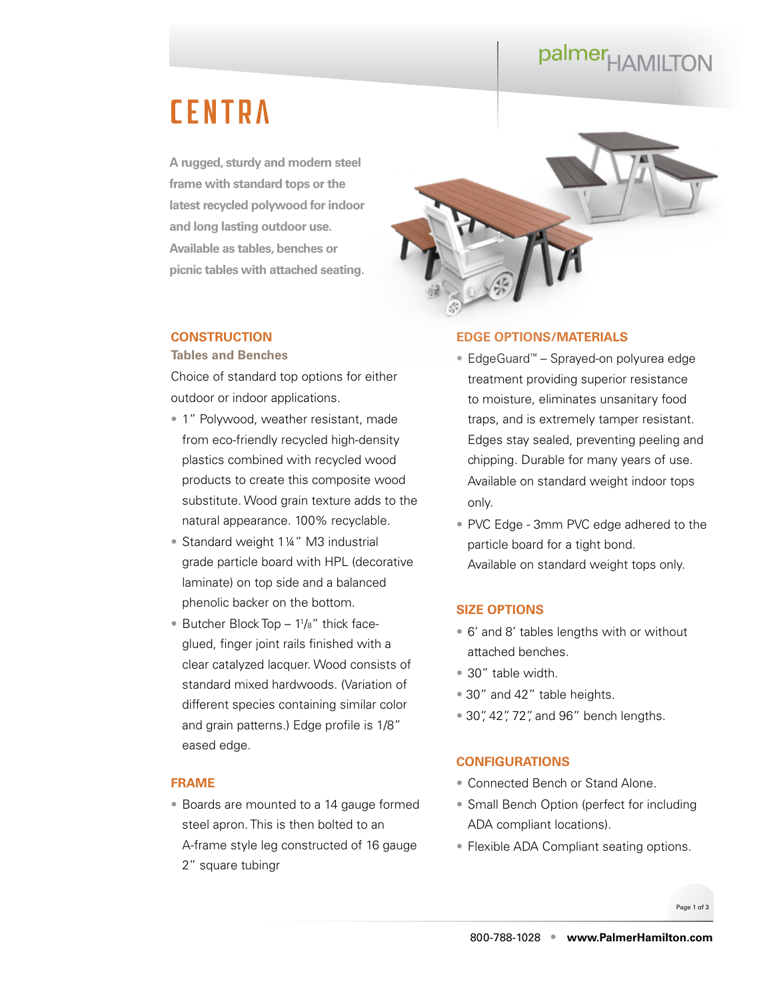## palmer<sub>HAMILTON</sub>

### **CENTRA**

**A rugged, sturdy and modern steel frame with standard tops or the latest recycled polywood for indoor and long lasting outdoor use. Available as tables, benches or picnic tables with attached seating.**

#### **CONSTRUCTION**

#### **Tables and Benches**

Choice of standard top options for either outdoor or indoor applications.

- 1" Polywood, weather resistant, made from eco-friendly recycled high-density plastics combined with recycled wood products to create this composite wood substitute. Wood grain texture adds to the natural appearance. 100% recyclable.
- Standard weight 1¼" M3 industrial grade particle board with HPL (decorative laminate) on top side and a balanced phenolic backer on the bottom.
- Butcher Block Top 1<sup>1</sup>/<sub>8</sub>" thick faceglued, finger joint rails finished with a clear catalyzed lacquer. Wood consists of standard mixed hardwoods. (Variation of different species containing similar color and grain patterns.) Edge profile is 1/8" eased edge.

#### **FRAME**

• Boards are mounted to a 14 gauge formed steel apron. This is then bolted to an A-frame style leg constructed of 16 gauge 2" square tubingr



#### **EDGE OPTIONS/MATERIALS**

- EdgeGuard™ Sprayed-on polyurea edge treatment providing superior resistance to moisture, eliminates unsanitary food traps, and is extremely tamper resistant. Edges stay sealed, preventing peeling and chipping. Durable for many years of use. Available on standard weight indoor tops only.
- PVC Edge 3mm PVC edge adhered to the particle board for a tight bond. Available on standard weight tops only.

#### **SIZE OPTIONS**

- 6' and 8' tables lengths with or without attached benches.
- 30" table width.
- 30" and 42" table heights.
- 30", 42", 72", and 96" bench lengths.

#### **CONFIGURATIONS**

- Connected Bench or Stand Alone.
- Small Bench Option (perfect for including ADA compliant locations).
- Flexible ADA Compliant seating options.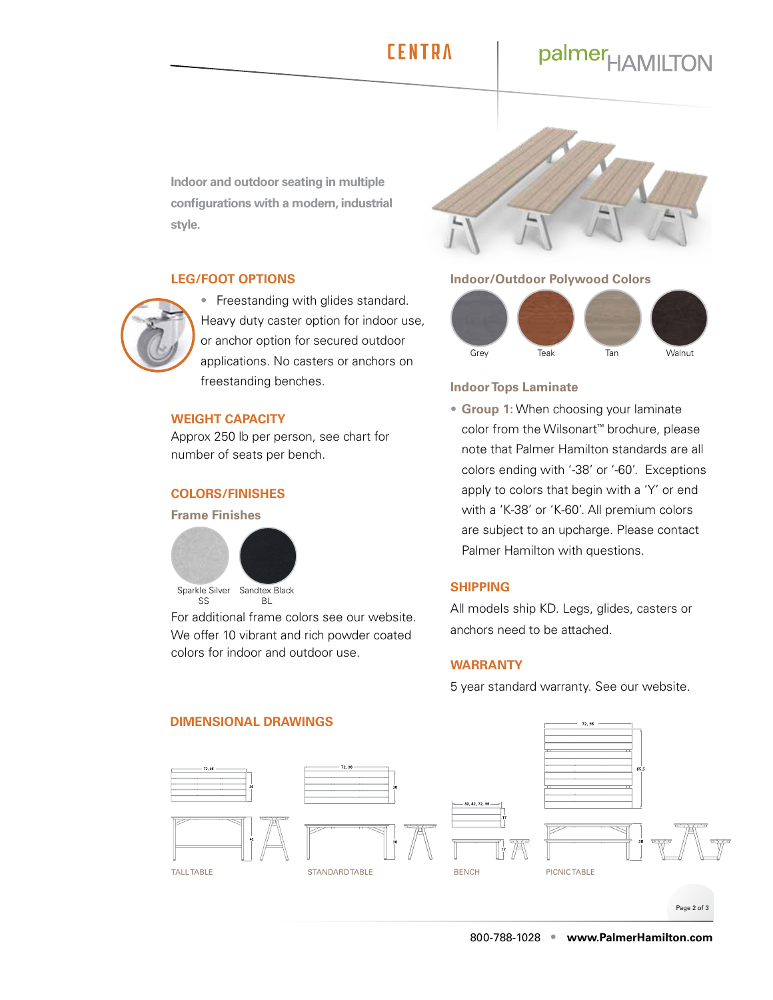### **FFNTRA**

### palmer<sub>HAMILTON</sub>

**Indoor and outdoor seating in multiple configurations with a modern, industrial style.**

#### **LEG/FOOT OPTIONS**



• Freestanding with glides standard. Heavy duty caster option for indoor use, or anchor option for secured outdoor applications. No casters or anchors on freestanding benches.

#### **WEIGHT CAPACITY**

Approx 250 lb per person, see chart for number of seats per bench.

#### **COLORS/FINISHES**

#### **Frame Finishes**



For additional frame colors see our website. We offer 10 vibrant and rich powder coated colors for indoor and outdoor use.

#### **Indoor/Outdoor Polywood Colors**



#### **Indoor Tops Laminate**

• **Group 1:** When choosing your laminate color from the Wilsonart™ brochure, please note that Palmer Hamilton standards are all colors ending with '-38' or '-60'. Exceptions apply to colors that begin with a 'Y' or end with a 'K-38' or 'K-60'. All premium colors are subject to an upcharge. Please contact Palmer Hamilton with questions.

#### **SHIPPING**

All models ship KD. Legs, glides, casters or anchors need to be attached.

#### **WARRANTY**

5 year standard warranty. See our [website](https://palmerhamilton.com/resources/warranty).